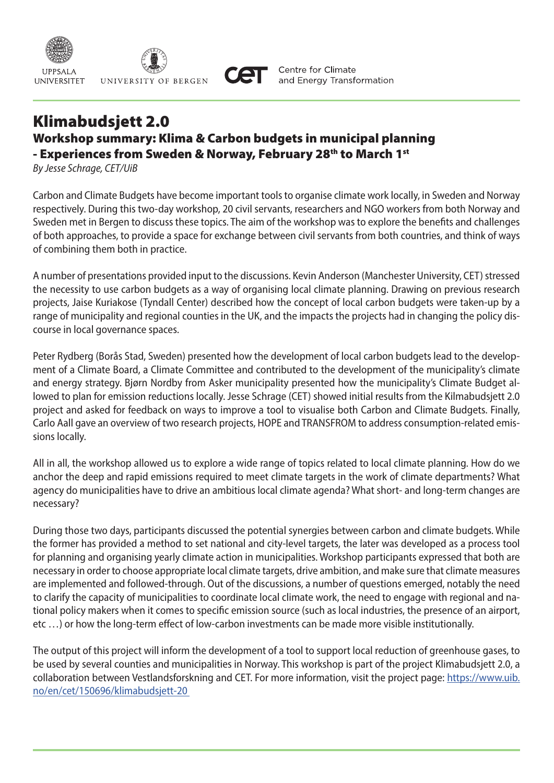

## Klimabudsjett 2.0 Workshop summary: Klima & Carbon budgets in municipal planning - Experiences from Sweden & Norway, February 28th to March 1st

*By Jesse Schrage, CET/UiB*

Carbon and Climate Budgets have become important tools to organise climate work locally, in Sweden and Norway respectively. During this two-day workshop, 20 civil servants, researchers and NGO workers from both Norway and Sweden met in Bergen to discuss these topics. The aim of the workshop was to explore the benefits and challenges of both approaches, to provide a space for exchange between civil servants from both countries, and think of ways of combining them both in practice.

A number of presentations provided input to the discussions. Kevin Anderson (Manchester University, CET) stressed the necessity to use carbon budgets as a way of organising local climate planning. Drawing on previous research projects, Jaise Kuriakose (Tyndall Center) described how the concept of local carbon budgets were taken-up by a range of municipality and regional counties in the UK, and the impacts the projects had in changing the policy discourse in local governance spaces.

Peter Rydberg (Borås Stad, Sweden) presented how the development of local carbon budgets lead to the development of a Climate Board, a Climate Committee and contributed to the development of the municipality's climate and energy strategy. Bjørn Nordby from Asker municipality presented how the municipality's Climate Budget allowed to plan for emission reductions locally. Jesse Schrage (CET) showed initial results from the Kilmabudsjett 2.0 project and asked for feedback on ways to improve a tool to visualise both Carbon and Climate Budgets. Finally, Carlo Aall gave an overview of two research projects, HOPE and TRANSFROM to address consumption-related emissions locally.

All in all, the workshop allowed us to explore a wide range of topics related to local climate planning. How do we anchor the deep and rapid emissions required to meet climate targets in the work of climate departments? What agency do municipalities have to drive an ambitious local climate agenda? What short- and long-term changes are necessary?

During those two days, participants discussed the potential synergies between carbon and climate budgets. While the former has provided a method to set national and city-level targets, the later was developed as a process tool for planning and organising yearly climate action in municipalities. Workshop participants expressed that both are necessary in order to choose appropriate local climate targets, drive ambition, and make sure that climate measures are implemented and followed-through. Out of the discussions, a number of questions emerged, notably the need to clarify the capacity of municipalities to coordinate local climate work, the need to engage with regional and national policy makers when it comes to specific emission source (such as local industries, the presence of an airport, etc …) or how the long-term effect of low-carbon investments can be made more visible institutionally.

The output of this project will inform the development of a tool to support local reduction of greenhouse gases, to be used by several counties and municipalities in Norway. This workshop is part of the project Klimabudsjett 2.0, a collaboration between Vestlandsforskning and CET. For more information, visit the project page: https://www.uib. no/en/cet/150696/klimabudsjett-20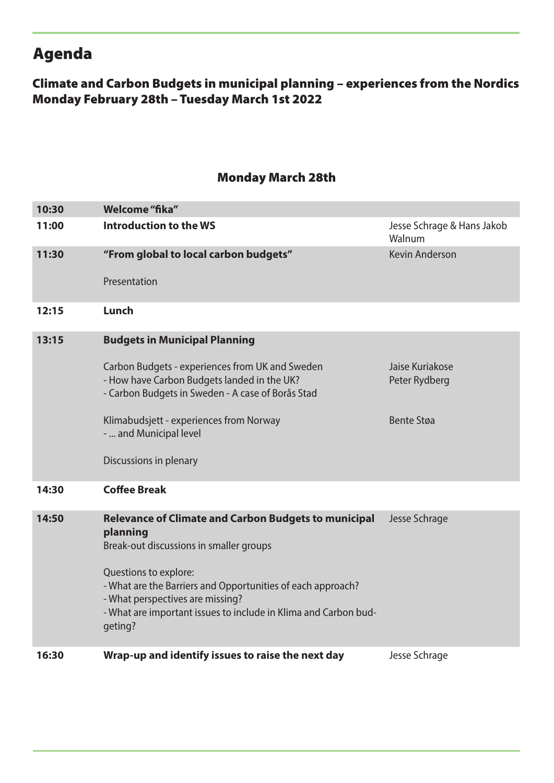# Agenda

### Climate and Carbon Budgets in municipal planning – experiences from the Nordics Monday February 28th – Tuesday March 1st 2022

#### Monday March 28th

| 10:30 | Welcome "fika"                                                                                                                                                                                                                                                                                                               |                                                       |
|-------|------------------------------------------------------------------------------------------------------------------------------------------------------------------------------------------------------------------------------------------------------------------------------------------------------------------------------|-------------------------------------------------------|
| 11:00 | Introduction to the WS                                                                                                                                                                                                                                                                                                       | Jesse Schrage & Hans Jakob<br>Walnum                  |
| 11:30 | "From global to local carbon budgets"<br>Presentation                                                                                                                                                                                                                                                                        | <b>Kevin Anderson</b>                                 |
| 12:15 | Lunch                                                                                                                                                                                                                                                                                                                        |                                                       |
| 13:15 | <b>Budgets in Municipal Planning</b><br>Carbon Budgets - experiences from UK and Sweden<br>- How have Carbon Budgets landed in the UK?<br>- Carbon Budgets in Sweden - A case of Borås Stad<br>Klimabudsjett - experiences from Norway<br>-  and Municipal level<br>Discussions in plenary                                   | Jaise Kuriakose<br>Peter Rydberg<br><b>Bente Støa</b> |
| 14:30 | <b>Coffee Break</b>                                                                                                                                                                                                                                                                                                          |                                                       |
| 14:50 | <b>Relevance of Climate and Carbon Budgets to municipal</b><br>planning<br>Break-out discussions in smaller groups<br>Questions to explore:<br>- What are the Barriers and Opportunities of each approach?<br>- What perspectives are missing?<br>- What are important issues to include in Klima and Carbon bud-<br>geting? | Jesse Schrage                                         |
| 16:30 | Wrap-up and identify issues to raise the next day                                                                                                                                                                                                                                                                            | Jesse Schrage                                         |